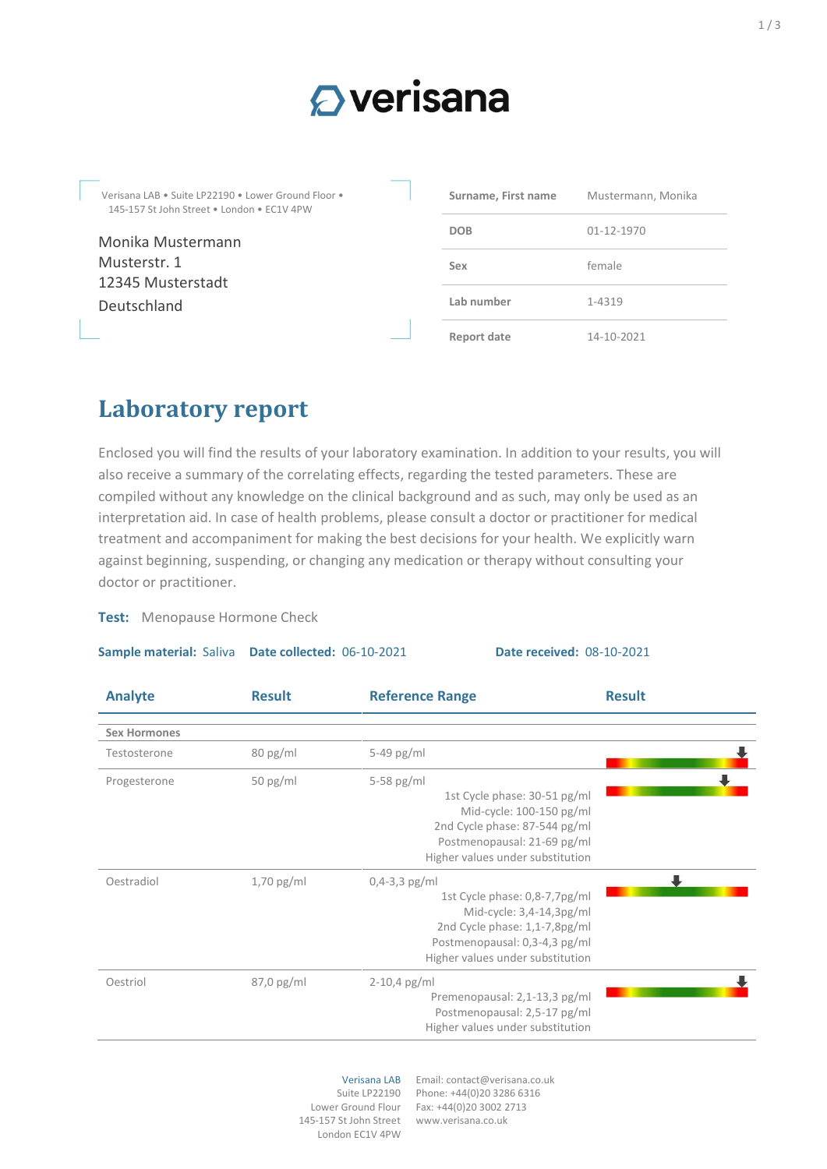# $\Omega$  verisana

Verisana LAB • Suite LP22190 • Lower Ground Floor • 145-157 St John Street • London • EC1V 4PW

Monika Mustermann Musterstr. 1 12345 Musterstadt Deutschland

| Surname, First name | Mustermann, Monika |  |
|---------------------|--------------------|--|
| <b>DOB</b>          | 01-12-1970         |  |
| Sex                 | female             |  |
| Lab number          | 1-4319             |  |
| Report date         | 14-10-2021         |  |

## **Laboratory report**

Enclosed you will find the results of your laboratory examination. In addition to your results, you will also receive a summary of the correlating effects, regarding the tested parameters. These are compiled without any knowledge on the clinical background and as such, may only be used as an interpretation aid. In case of health problems, please consult a doctor or practitioner for medical treatment and accompaniment for making the best decisions for your health. We explicitly warn against beginning, suspending, or changing any medication or therapy without consulting your doctor or practitioner.

**Test:** Menopause Hormone Check

**Sample material:** Saliva **Date collected:** 06-10-2021 **Date received:** 08-10-2021

| <b>Analyte</b>      | <b>Result</b> | <b>Reference Range</b>                                                                                                                                                             | <b>Result</b> |
|---------------------|---------------|------------------------------------------------------------------------------------------------------------------------------------------------------------------------------------|---------------|
| <b>Sex Hormones</b> |               |                                                                                                                                                                                    |               |
| Testosterone        | 80 pg/ml      | 5-49 pg/ml                                                                                                                                                                         |               |
| Progesterone        | 50 pg/ml      | 5-58 pg/ml<br>1st Cycle phase: 30-51 pg/ml<br>Mid-cycle: 100-150 pg/ml<br>2nd Cycle phase: 87-544 pg/ml<br>Postmenopausal: 21-69 pg/ml<br>Higher values under substitution         |               |
| Oestradiol          | $1,70$ pg/ml  | $0,4-3,3$ pg/ml<br>1st Cycle phase: 0,8-7,7pg/ml<br>Mid-cycle: 3,4-14,3pg/ml<br>2nd Cycle phase: 1,1-7,8pg/ml<br>Postmenopausal: 0,3-4,3 pg/ml<br>Higher values under substitution |               |
| Oestriol            | $87,0$ pg/ml  | $2 - 10,4$ pg/ml<br>Premenopausal: 2,1-13,3 pg/ml<br>Postmenopausal: 2,5-17 pg/ml<br>Higher values under substitution                                                              |               |

### Lower Ground Flour 145-157 St John Street London EC1V 4PW

Verisana LAB Email: contact@verisana.co.uk Suite LP22190 Phone: +44(0)20 3286 6316 Fax: +44(0)20 3002 2713 www.verisana.co.uk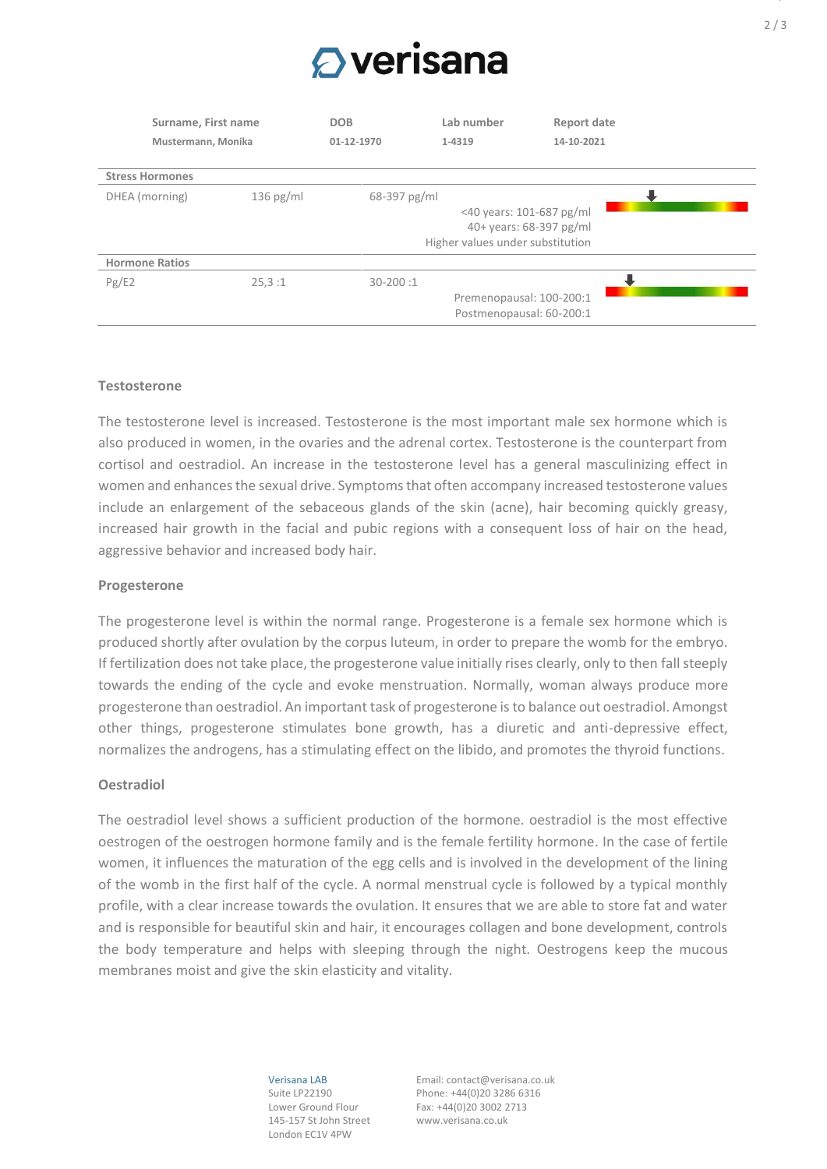

| Surname, First name<br>Mustermann, Monika |             | <b>DOB</b>   | Lab number                                           | Report date                                         |  |
|-------------------------------------------|-------------|--------------|------------------------------------------------------|-----------------------------------------------------|--|
|                                           |             | 01-12-1970   | 1-4319                                               | 14-10-2021                                          |  |
| <b>Stress Hormones</b>                    |             |              |                                                      |                                                     |  |
| DHEA (morning)                            | $136$ pg/ml | 68-397 pg/ml | Higher values under substitution                     | <40 years: 101-687 pg/ml<br>40+ years: 68-397 pg/ml |  |
| <b>Hormone Ratios</b>                     |             |              |                                                      |                                                     |  |
| Pg/E2                                     | 25.3:1      | $30 - 200:1$ | Premenopausal: 100-200:1<br>Postmenopausal: 60-200:1 |                                                     |  |

#### **Testosterone**

The testosterone level is increased. Testosterone is the most important male sex hormone which is also produced in women, in the ovaries and the adrenal cortex. Testosterone is the counterpart from cortisol and oestradiol. An increase in the testosterone level has a general masculinizing effect in women and enhances the sexual drive. Symptoms that often accompany increased testosterone values include an enlargement of the sebaceous glands of the skin (acne), hair becoming quickly greasy, increased hair growth in the facial and pubic regions with a consequent loss of hair on the head, aggressive behavior and increased body hair.

#### **Progesterone**

The progesterone level is within the normal range. Progesterone is a female sex hormone which is produced shortly after ovulation by the corpus luteum, in order to prepare the womb for the embryo. If fertilization does not take place, the progesterone value initially rises clearly, only to then fall steeply towards the ending of the cycle and evoke menstruation. Normally, woman always produce more progesterone than oestradiol. An important task of progesterone is to balance out oestradiol. Amongst other things, progesterone stimulates bone growth, has a diuretic and anti-depressive effect, normalizes the androgens, has a stimulating effect on the libido, and promotes the thyroid functions.

#### **Oestradiol**

The oestradiol level shows a sufficient production of the hormone. oestradiol is the most effective oestrogen of the oestrogen hormone family and is the female fertility hormone. In the case of fertile women, it influences the maturation of the egg cells and is involved in the development of the lining of the womb in the first half of the cycle. A normal menstrual cycle is followed by a typical monthly profile, with a clear increase towards the ovulation. It ensures that we are able to store fat and water and is responsible for beautiful skin and hair, it encourages collagen and bone development, controls the body temperature and helps with sleeping through the night. Oestrogens keep the mucous membranes moist and give the skin elasticity and vitality.

> Verisana LAB Suite LP22190 Lower Ground Flour 145-157 St John Street London EC1V 4PW

Email: contact@verisana.co.uk Phone: +44(0)20 3286 6316 Fax: +44(0)20 3002 2713 www.verisana.co.uk

 $\overline{\phantom{a}}$